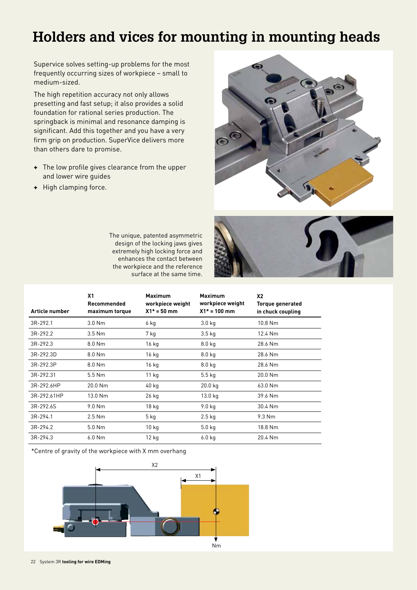Supervice solves setting-up problems for the most frequently occurring sizes of workpiece – small to medium-sized.

The high repetition accuracy not only allows presetting and fast setup; it also provides a solid foundation for rational series production. The springback is minimal and resonance damping is significant. Add this together and you have a very firm grip on production. SuperVice delivers more than others dare to promise.

- **+** The low profile gives clearance from the upper and lower wire guides
- **+** High clamping force.



The unique, patented asymmetric design of the locking jaws gives extremely high locking force and enhances the contact between the workpiece and the reference surface at the same time.



| Article number | X <sub>1</sub><br>Recommended<br>maximum torque | <b>Maximum</b><br>workpiece weight<br>$X1* = 50$ mm | <b>Maximum</b><br>workpiece weight<br>$X1* = 100$ mm | X <sub>2</sub><br>Torque generated<br>in chuck coupling |
|----------------|-------------------------------------------------|-----------------------------------------------------|------------------------------------------------------|---------------------------------------------------------|
| $3R-292.1$     | $3.0$ Nm                                        | 6 kg                                                | 3.0 <sub>kq</sub>                                    | 10.8 Nm                                                 |
| 3R-292.2       | $3.5$ Nm                                        | 7 kg                                                | 3.5 <sub>kq</sub>                                    | 12.4 Nm                                                 |
| $3R-292.3$     | $8.0$ Nm                                        | 16 kg                                               | 8.0 <sub>kq</sub>                                    | 28.6 Nm                                                 |
| 3R-292.3D      | 8.0 Nm                                          | 16 kg                                               | 8.0 <sub>kq</sub>                                    | 28.6 Nm                                                 |
| 3R-292.3P      | 8.0 Nm                                          | 16 kg                                               | 8.0 <sub>kg</sub>                                    | 28.6 Nm                                                 |
| 3R-292.31      | $5.5$ Nm                                        | $11$ kg                                             | $5.5$ kg                                             | $20.0$ Nm                                               |
| 3R-292.6HP     | $20.0$ Nm                                       | 40 kg                                               | 20.0 kg                                              | 63.0 Nm                                                 |
| 3R-292.61HP    | 13.0 Nm                                         | 26 kg                                               | 13.0 kg                                              | 39.6 Nm                                                 |
| 3R-292.6S      | $9.0$ Nm                                        | 18 <sub>kg</sub>                                    | 9.0 <sub>kq</sub>                                    | 30.4 Nm                                                 |
| 3R-294.1       | $2.5$ Nm                                        | 5 kg                                                | $2.5$ kg                                             | $9.3$ Nm                                                |
| 3R-294.2       | $5.0$ Nm                                        | 10 kg                                               | 5.0 <sub>kq</sub>                                    | 18.8 Nm                                                 |
| $3R-294.3$     | $6.0$ Nm                                        | $12$ kg                                             | 6.0 <sub>kq</sub>                                    | 20.4 Nm                                                 |

\*Centre of gravity of the workpiece with X mm overhang

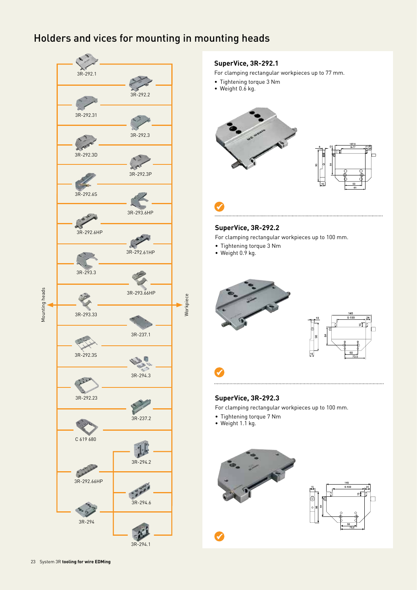

### **SuperVice, 3R-292.1**

For clamping rectangular workpieces up to 77 mm.

- Tightening torque 3 Nm
- Weight 0.6 kg.



# **SuperVice, 3R-292.2**

For clamping rectangular workpieces up to 100 mm.

- Tightening torque 3 Nm
- Weight 0.9 kg.

 $\checkmark$ 

. . . . . . .



# **SuperVice, 3R-292.3**

For clamping rectangular workpieces up to 100 mm.

- Tightening torque 7 Nm
- Weight 1.1 kg.

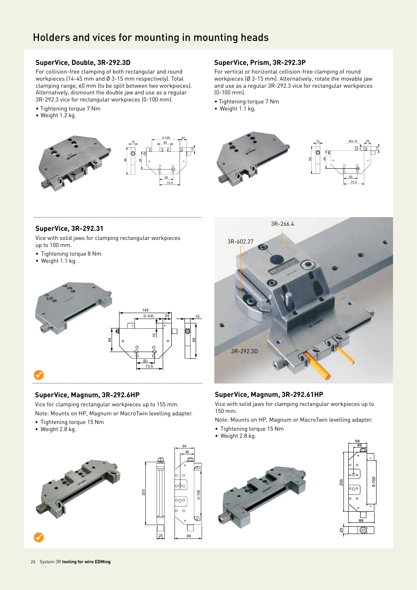### **SuperVice, Double, 3R-292.3D**

For collision-free clamping of both rectangular and round workpieces (14-45 mm and Ø 3-15 mm respectively). Total clamping range, 60 mm (to be split between two workpieces). Alternatively, dismount the double jaw and use as a regular 3R-292.3 vice for rectangular workpieces (0-100 mm).

- Tightening torque 7 Nm
- Weight 1.2 kg.



### **SuperVice, Prism, 3R-292.3P**

For vertical or horizontal collision-free clamping of round workpieces (Ø 3-15 mm). Alternatively, rotate the movable jaw and use as a regular 3R-292.3 vice for rectangular workpieces (0-100 mm).

- Tightening torque 7 Nm
- Weight 1.1 kg.



### **SuperVice, 3R-292.31**

Vice with solid jaws for clamping rectangular workpieces up to 100 mm.

- Tightening torque 8 Nm
- Weight 1.1 kg.



#### **SuperVice, Magnum, 3R-292.6HP**

Vice for clamping rectangular workpieces up to 155 mm.

Note: Mounts on HP, Magnum or MacroTwin levelling adapter.

- Tightening torque 15 Nm
- Weight 2.8 kg.





205



# **SuperVice, Magnum, 3R-292.61HP**

Vice with solid jaws for clamping rectangular workpieces up to 150 mm.

Note: Mounts on HP, Magnum or MacroTwin levelling adapter.

- Tightening torque 15 Nm
- Weight 2.8 kg.





 $\checkmark$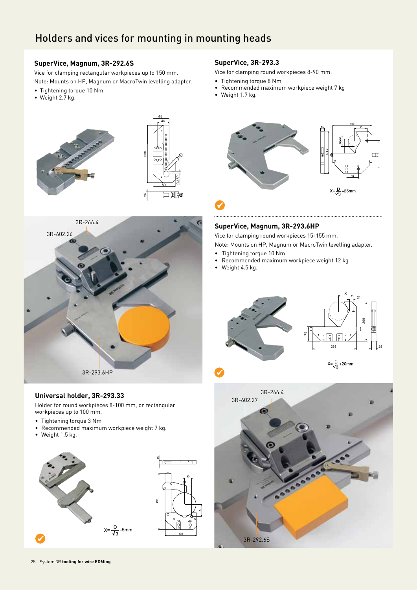### **SuperVice, Magnum, 3R-292.6S**

Vice for clamping rectangular workpieces up to 150 mm. Note: Mounts on HP, Magnum or MacroTwin levelling adapter.

- Tightening torque 10 Nm
- Weight 2.7 kg.







### **Universal holder, 3R-293.33**

Holder for round workpieces 8-100 mm, or rectangular workpieces up to 100 mm.

- Tightening torque 3 Nm
- Recommended maximum workpiece weight 7 kg.
- Weight 1.5 kg.





### **SuperVice, 3R-293.3**

Vice for clamping round workpieces 8-90 mm.

- Tightening torque 8 Nm
- Recommended maximum workpiece weight 7 kg
- Weight 1.7 kg.



# **SuperVice, Magnum, 3R-293.6HP**

Vice for clamping round workpieces 15-155 mm.

Note: Mounts on HP, Magnum or MacroTwin levelling adapter.

- Tightening torque 10 Nm
- Recommended maximum workpiece weight 12 kg
- Weight 4.5 kg.



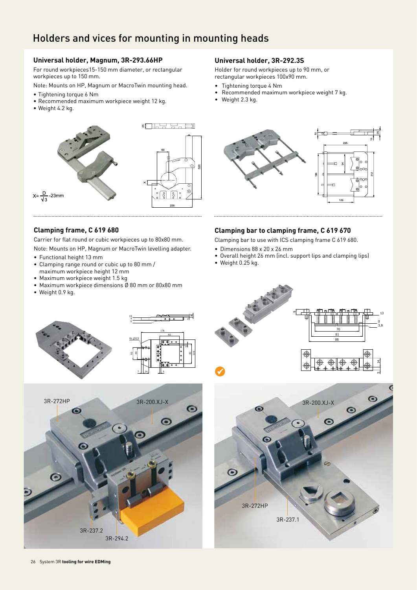# **Universal holder, Magnum, 3R-293.66HP**

For round workpieces15-150 mm diameter, or rectangular workpieces up to 150 mm.

- Note: Mounts on HP, Magnum or MacroTwin mounting head.
- Tightening torque 6 Nm
- Recommended maximum workpiece weight 12 kg.
- Weight 4.2 kg.



#### **Universal holder, 3R-292.3S**

Holder for round workpieces up to 90 mm, or rectangular workpieces 100x90 mm.

- Tightening torque 4 Nm
- Recommended maximum workpiece weight 7 kg.
- Weight 2.3 kg.



#### **Clamping frame, C 619 680**

Carrier for flat round or cubic workpieces up to 80x80 mm. Note: Mounts on HP, Magnum or MacroTwin levelling adapter.

- Functional height 13 mm
- Clamping range round or cubic up to 80 mm /
- maximum workpiece height 12 mm
- Maximum workpiece weight 1.5 kg
- Maximum workpiece dimensions Ø 80 mm or 80x80 mm
- Weight 0.9 kg.



Clamping bar to use with ICS clamping frame C 619 680.

- Dimensions 88 x 20 x 26 mm
- Overall height 26 mm (incl. support lips and clamping lips)
- Weight 0.25 kg.

116  $\approx$ 







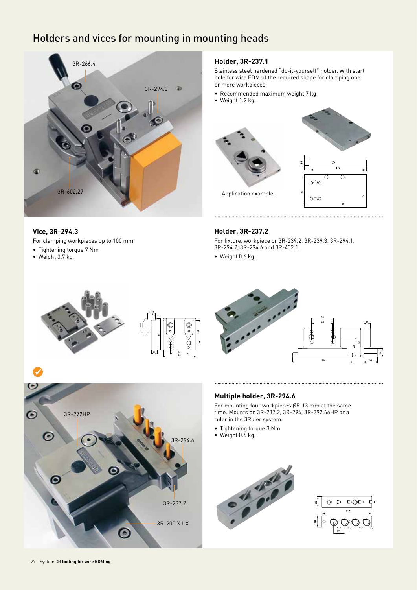

### **Vice, 3R-294.3**

For clamping workpieces up to 100 mm.

- Tightening torque 7 Nm
- Weight 0.7 kg.

 $\checkmark$ 

### **Holder, 3R-237.1**

Stainless steel hardened "do-it-yourself" holder. With start hole for wire EDM of the required shape for clamping one or more workpieces.

- Recommended maximum weight 7 kg
- Weight 1.2 kg.



#### **Holder, 3R-237.2**

For fixture, workpiece or 3R-239.2, 3R-239.3, 3R-294.1, 3R-294.2, 3R-294.6 and 3R-402.1.

• Weight 0.6 kg.







For mounting four workpieces Ø5-13 mm at the same time. Mounts on 3R-237.2, 3R-294, 3R-292.66HP or a ruler in the 3Ruler system.

- Tightening torque 3 Nm
- Weight 0.6 kg.







3R-272HP